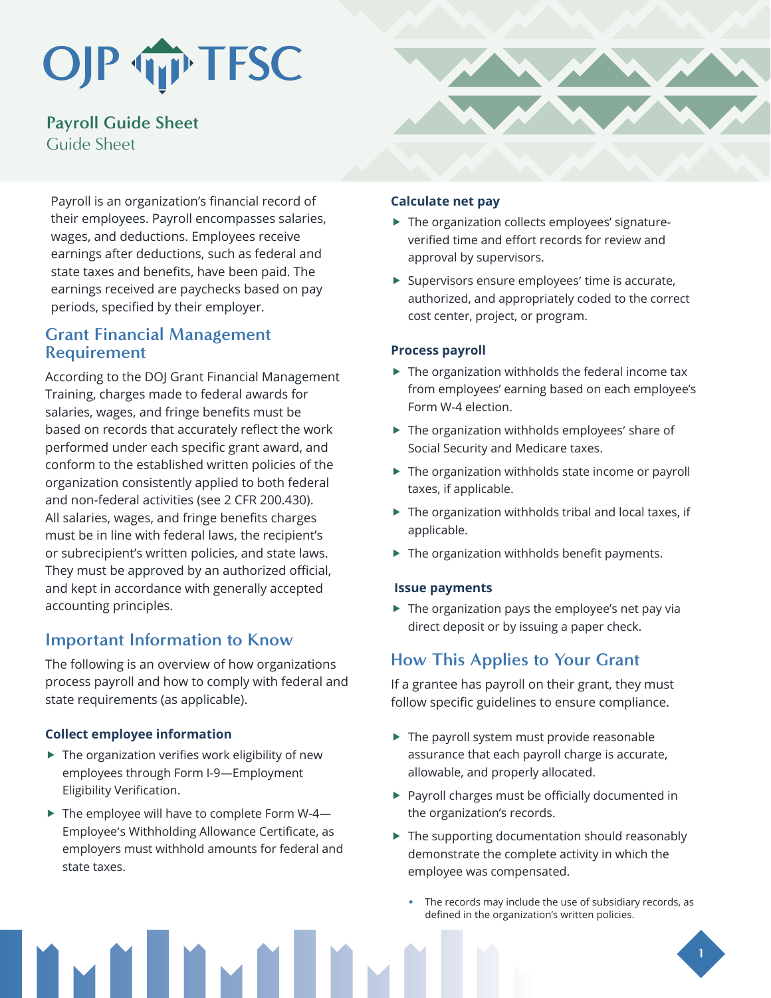# OJP TP TFSC

**Payroll Guide Sheet** Guide Sheet

Payroll is an organization's financial record of their employees. Payroll encompasses salaries, wages, and deductions. Employees receive earnings after deductions, such as federal and state taxes and benefits, have been paid. The earnings received are paychecks based on pay periods, specified by their employer.

# **Grant Financial Management Requirement**

According to the DOJ Grant Financial Management Training, charges made to federal awards for salaries, wages, and fringe benefits must be based on records that accurately reflect the work performed under each specific grant award, and conform to the established written policies of the organization consistently applied to both federal and non-federal activities (see 2 CFR 200.430). All salaries, wages, and fringe benefits charges must be in line with federal laws, the recipient's or subrecipient's written policies, and state laws. They must be approved by an authorized official, and kept in accordance with generally accepted accounting principles.

# **Important Information to Know**

The following is an overview of how organizations process payroll and how to comply with federal and state requirements (as applicable).

# **Collect employee information**

- $\blacktriangleright$  The organization verifies work eligibility of new employees through Form I-9—Employment Eligibility Verification.
- $\blacktriangleright$  The employee will have to complete Form W-4-Employee's Withholding Allowance Certificate, as employers must withhold amounts for federal and state taxes.

### **Calculate net pay**

- $\blacktriangleright$  The organization collects employees' signatureverified time and effort records for review and approval by supervisors.
- $\blacktriangleright$  Supervisors ensure employees' time is accurate, authorized, and appropriately coded to the correct cost center, project, or program.

## **Process payroll**

- $\blacktriangleright$  The organization withholds the federal income tax from employees' earning based on each employee's Form W-4 election.
- $\blacktriangleright$  The organization withholds employees' share of Social Security and Medicare taxes.
- $\blacktriangleright$  The organization withholds state income or payroll taxes, if applicable.
- $\blacktriangleright$  The organization withholds tribal and local taxes, if applicable.
- $\blacktriangleright$  The organization withholds benefit payments.

### **Issue payments**

 $\blacktriangleright$  The organization pays the employee's net pay via direct deposit or by issuing a paper check.

# **How This Applies to Your Grant**

If a grantee has payroll on their grant, they must follow specific guidelines to ensure compliance.

- $\blacktriangleright$  The payroll system must provide reasonable assurance that each payroll charge is accurate, allowable, and properly allocated.
- $\blacktriangleright$  Payroll charges must be officially documented in the organization's records.
- $\blacktriangleright$  The supporting documentation should reasonably demonstrate the complete activity in which the employee was compensated.
	- The records may include the use of subsidiary records, as defined in the organization's written policies.